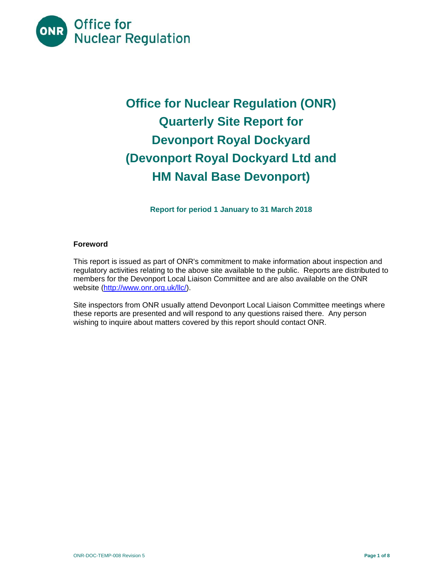

# **Office for Nuclear Regulation (ONR) Quarterly Site Report for Devonport Royal Dockyard (Devonport Royal Dockyard Ltd and HM Naval Base Devonport)**

**Report for period 1 January to 31 March 2018** 

# **Foreword**

This report is issued as part of ONR's commitment to make information about inspection and regulatory activities relating to the above site available to the public. Reports are distributed to members for the Devonport Local Liaison Committee and are also available on the ONR website (http://www.onr.org.uk/llc/).

Site inspectors from ONR usually attend Devonport Local Liaison Committee meetings where these reports are presented and will respond to any questions raised there. Any person wishing to inquire about matters covered by this report should contact ONR.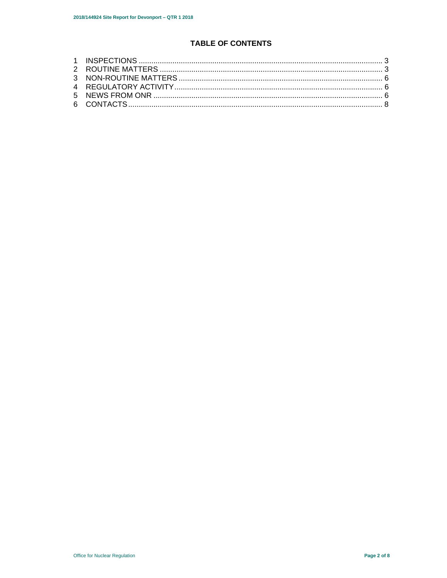# **TABLE OF CONTENTS**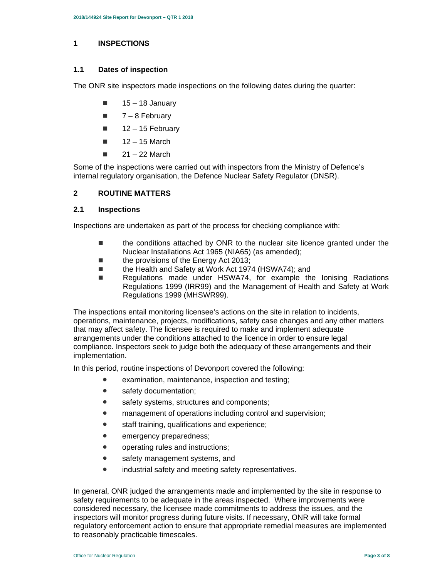#### **1 INSPECTIONS**

#### **1.1 Dates of inspection**

The ONR site inspectors made inspections on the following dates during the quarter:

- $\blacksquare$  15 18 January
- $\blacksquare$  7 8 February
- $12 15$  February
- $12 15$  March
- $\blacksquare$  21 22 March

Some of the inspections were carried out with inspectors from the Ministry of Defence's internal regulatory organisation, the Defence Nuclear Safety Regulator (DNSR).

# **2 ROUTINE MATTERS**

#### **2.1 Inspections**

Inspections are undertaken as part of the process for checking compliance with:

- the conditions attached by ONR to the nuclear site licence granted under the Nuclear Installations Act 1965 (NIA65) (as amended);
- the provisions of the Energy Act 2013;
- the Health and Safety at Work Act 1974 (HSWA74); and
- Regulations made under HSWA74, for example the lonising Radiations Regulations 1999 (IRR99) and the Management of Health and Safety at Work Regulations 1999 (MHSWR99).

The inspections entail monitoring licensee's actions on the site in relation to incidents, operations, maintenance, projects, modifications, safety case changes and any other matters that may affect safety. The licensee is required to make and implement adequate arrangements under the conditions attached to the licence in order to ensure legal compliance. Inspectors seek to judge both the adequacy of these arrangements and their implementation.

In this period, routine inspections of Devonport covered the following:

- examination, maintenance, inspection and testing;
- safety documentation:
- safety systems, structures and components;
- **management of operations including control and supervision;**
- staff training, qualifications and experience;
- **emergency preparedness;**
- operating rules and instructions;
- safety management systems, and
- **•** industrial safety and meeting safety representatives.

In general, ONR judged the arrangements made and implemented by the site in response to safety requirements to be adequate in the areas inspected. Where improvements were considered necessary, the licensee made commitments to address the issues, and the inspectors will monitor progress during future visits. If necessary, ONR will take formal regulatory enforcement action to ensure that appropriate remedial measures are implemented to reasonably practicable timescales.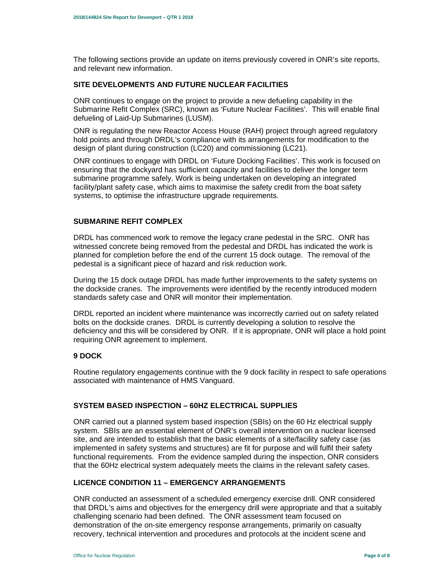The following sections provide an update on items previously covered in ONR's site reports, and relevant new information.

# **SITE DEVELOPMENTS AND FUTURE NUCLEAR FACILITIES**

ONR continues to engage on the project to provide a new defueling capability in the Submarine Refit Complex (SRC), known as 'Future Nuclear Facilities'. This will enable final defueling of Laid-Up Submarines (LUSM).

ONR is regulating the new Reactor Access House (RAH) project through agreed regulatory hold points and through DRDL's compliance with its arrangements for modification to the design of plant during construction (LC20) and commissioning (LC21).

ONR continues to engage with DRDL on 'Future Docking Facilities'. This work is focused on ensuring that the dockyard has sufficient capacity and facilities to deliver the longer term submarine programme safely. Work is being undertaken on developing an integrated facility/plant safety case, which aims to maximise the safety credit from the boat safety systems, to optimise the infrastructure upgrade requirements.

# **SUBMARINE REFIT COMPLEX**

DRDL has commenced work to remove the legacy crane pedestal in the SRC. ONR has witnessed concrete being removed from the pedestal and DRDL has indicated the work is planned for completion before the end of the current 15 dock outage. The removal of the pedestal is a significant piece of hazard and risk reduction work.

During the 15 dock outage DRDL has made further improvements to the safety systems on the dockside cranes. The improvements were identified by the recently introduced modern standards safety case and ONR will monitor their implementation.

DRDL reported an incident where maintenance was incorrectly carried out on safety related bolts on the dockside cranes. DRDL is currently developing a solution to resolve the deficiency and this will be considered by ONR. If it is appropriate, ONR will place a hold point requiring ONR agreement to implement.

## **9 DOCK**

Routine regulatory engagements continue with the 9 dock facility in respect to safe operations associated with maintenance of HMS Vanguard.

# **SYSTEM BASED INSPECTION – 60HZ ELECTRICAL SUPPLIES**

ONR carried out a planned system based inspection (SBIs) on the 60 Hz electrical supply system. SBIs are an essential element of ONR's overall intervention on a nuclear licensed site, and are intended to establish that the basic elements of a site/facility safety case (as implemented in safety systems and structures) are fit for purpose and will fulfil their safety functional requirements. From the evidence sampled during the inspection, ONR considers that the 60Hz electrical system adequately meets the claims in the relevant safety cases.

## **LICENCE CONDITION 11 – EMERGENCY ARRANGEMENTS**

ONR conducted an assessment of a scheduled emergency exercise drill. ONR considered that DRDL's aims and objectives for the emergency drill were appropriate and that a suitably challenging scenario had been defined. The ONR assessment team focused on demonstration of the on-site emergency response arrangements, primarily on casualty recovery, technical intervention and procedures and protocols at the incident scene and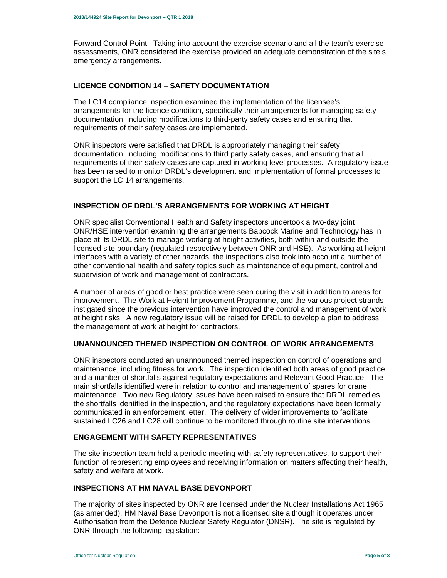Forward Control Point. Taking into account the exercise scenario and all the team's exercise assessments, ONR considered the exercise provided an adequate demonstration of the site's emergency arrangements.

# **LICENCE CONDITION 14 – SAFETY DOCUMENTATION**

The LC14 compliance inspection examined the implementation of the licensee's arrangements for the licence condition, specifically their arrangements for managing safety documentation, including modifications to third-party safety cases and ensuring that requirements of their safety cases are implemented.

ONR inspectors were satisfied that DRDL is appropriately managing their safety documentation, including modifications to third party safety cases, and ensuring that all requirements of their safety cases are captured in working level processes. A regulatory issue has been raised to monitor DRDL's development and implementation of formal processes to support the LC 14 arrangements.

### **INSPECTION OF DRDL'S ARRANGEMENTS FOR WORKING AT HEIGHT**

ONR specialist Conventional Health and Safety inspectors undertook a two-day joint ONR/HSE intervention examining the arrangements Babcock Marine and Technology has in place at its DRDL site to manage working at height activities, both within and outside the licensed site boundary (regulated respectively between ONR and HSE). As working at height interfaces with a variety of other hazards, the inspections also took into account a number of other conventional health and safety topics such as maintenance of equipment, control and supervision of work and management of contractors.

A number of areas of good or best practice were seen during the visit in addition to areas for improvement. The Work at Height Improvement Programme, and the various project strands instigated since the previous intervention have improved the control and management of work at height risks. A new regulatory issue will be raised for DRDL to develop a plan to address the management of work at height for contractors.

## **UNANNOUNCED THEMED INSPECTION ON CONTROL OF WORK ARRANGEMENTS**

ONR inspectors conducted an unannounced themed inspection on control of operations and maintenance, including fitness for work. The inspection identified both areas of good practice and a number of shortfalls against regulatory expectations and Relevant Good Practice. The main shortfalls identified were in relation to control and management of spares for crane maintenance. Two new Regulatory Issues have been raised to ensure that DRDL remedies the shortfalls identified in the inspection, and the regulatory expectations have been formally communicated in an enforcement letter. The delivery of wider improvements to facilitate sustained LC26 and LC28 will continue to be monitored through routine site interventions

### **ENGAGEMENT WITH SAFETY REPRESENTATIVES**

The site inspection team held a periodic meeting with safety representatives, to support their function of representing employees and receiving information on matters affecting their health, safety and welfare at work.

#### **INSPECTIONS AT HM NAVAL BASE DEVONPORT**

The majority of sites inspected by ONR are licensed under the Nuclear Installations Act 1965 (as amended). HM Naval Base Devonport is not a licensed site although it operates under Authorisation from the Defence Nuclear Safety Regulator (DNSR). The site is regulated by ONR through the following legislation: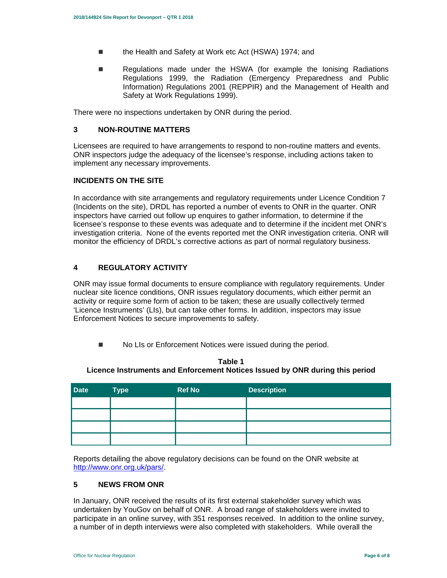- the Health and Safety at Work etc Act (HSWA) 1974; and
- **Regulations made under the HSWA (for example the Ionising Radiations** Regulations 1999, the Radiation (Emergency Preparedness and Public Information) Regulations 2001 (REPPIR) and the Management of Health and Safety at Work Regulations 1999).

There were no inspections undertaken by ONR during the period.

# **3 NON-ROUTINE MATTERS**

Licensees are required to have arrangements to respond to non-routine matters and events. ONR inspectors judge the adequacy of the licensee's response, including actions taken to implement any necessary improvements.

# **INCIDENTS ON THE SITE**

In accordance with site arrangements and regulatory requirements under Licence Condition 7 (Incidents on the site), DRDL has reported a number of events to ONR in the quarter. ONR inspectors have carried out follow up enquires to gather information, to determine if the licensee's response to these events was adequate and to determine if the incident met ONR's investigation criteria. None of the events reported met the ONR investigation criteria. ONR will monitor the efficiency of DRDL's corrective actions as part of normal regulatory business.

# **4 REGULATORY ACTIVITY**

ONR may issue formal documents to ensure compliance with regulatory requirements. Under nuclear site licence conditions, ONR issues regulatory documents, which either permit an activity or require some form of action to be taken; these are usually collectively termed 'Licence Instruments' (LIs), but can take other forms. In addition, inspectors may issue Enforcement Notices to secure improvements to safety.

■ No LIs or Enforcement Notices were issued during the period.

| <b>Date</b> | <b>Type</b> | <b>Ref No</b> | <b>Description</b> |
|-------------|-------------|---------------|--------------------|
|             |             |               |                    |
|             |             |               |                    |
|             |             |               |                    |
|             |             |               |                    |

**Table 1 Licence Instruments and Enforcement Notices Issued by ONR during this period** 

Reports detailing the above regulatory decisions can be found on the ONR website at http://www.onr.org.uk/pars/.

## **5 NEWS FROM ONR**

In January, ONR received the results of its first external stakeholder survey which was undertaken by YouGov on behalf of ONR. A broad range of stakeholders were invited to participate in an online survey, with 351 responses received. In addition to the online survey, a number of in depth interviews were also completed with stakeholders. While overall the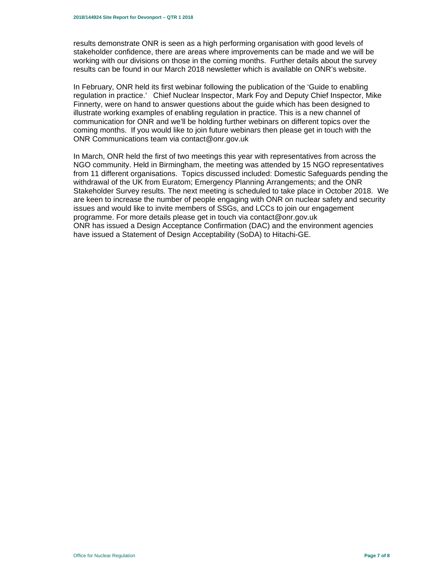results demonstrate ONR is seen as a high performing organisation with good levels of stakeholder confidence, there are areas where improvements can be made and we will be working with our divisions on those in the coming months. Further details about the survey results can be found in our March 2018 newsletter which is available on ONR's website.

In February, ONR held its first webinar following the publication of the 'Guide to enabling regulation in practice.' Chief Nuclear Inspector, Mark Foy and Deputy Chief Inspector, Mike Finnerty, were on hand to answer questions about the guide which has been designed to illustrate working examples of enabling regulation in practice. This is a new channel of communication for ONR and we'll be holding further webinars on different topics over the coming months. If you would like to join future webinars then please get in touch with the ONR Communications team via contact@onr.gov.uk

In March, ONR held the first of two meetings this year with representatives from across the NGO community. Held in Birmingham, the meeting was attended by 15 NGO representatives from 11 different organisations. Topics discussed included: Domestic Safeguards pending the withdrawal of the UK from Euratom; Emergency Planning Arrangements; and the ONR Stakeholder Survey results. The next meeting is scheduled to take place in October 2018. We are keen to increase the number of people engaging with ONR on nuclear safety and security issues and would like to invite members of SSGs, and LCCs to join our engagement programme. For more details please get in touch via contact@onr.gov.uk ONR has issued a Design Acceptance Confirmation (DAC) and the environment agencies have issued a Statement of Design Acceptability (SoDA) to Hitachi-GE.